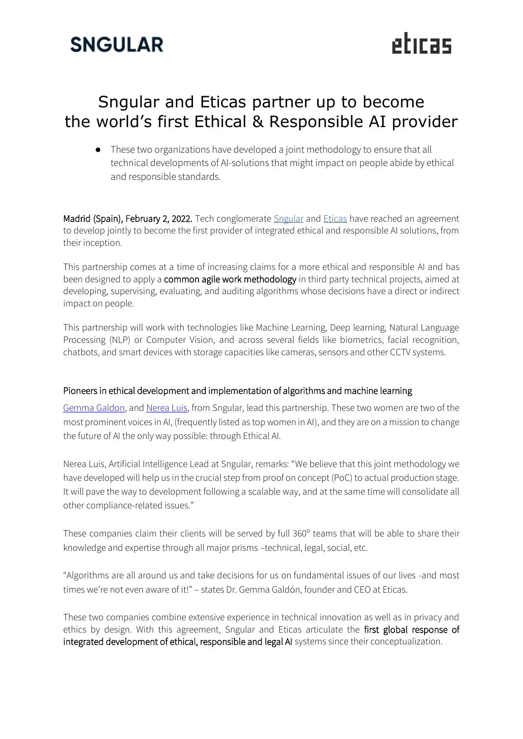## **SNGULAR**

### Sngular and Eticas partner up to become the world's first Ethical & Responsible AI provider

● These two organizations have developed a joint methodology to ensure that all technical developments of AI-solutions that might impact on people abide by ethical and responsible standards.

etiras

Madrid (Spain), February 2, 2022. Tech conglomerate [Sngular](https://www.sngular.com/es/) and [Eticas](https://www.eticasconsulting.com/) have reached an agreement to develop jointly to become the first provider of integrated ethical and responsible AI solutions, from their inception.

This partnership comes at a time of increasing claims for a more ethical and responsible AI and has been designed to apply a common agile work methodology in third party technical projects, aimed at developing, supervising, evaluating, and auditing algorithms whose decisions have a direct or indirect impact on people.

This partnership will work with technologies like Machine Learning, Deep learning, Natural Language Processing (NLP) or Computer Vision, and across several fields like biometrics, facial recognition, chatbots, and smart devices with storage capacities like cameras, sensors and other CCTV systems.

#### Pioneers in ethical development and implementation of algorithms and machine learning

[Gemma Galdon,](https://www.forbes.com/sites/ashoka/2021/04/26/make-algorithmic-audits-as-ubiquitous-as-seatbeltswhy-tech-needs-outside-help-to-serve-humanity/) an[d Nerea Luis,](https://women4it.eu/women4it-interview-nerea-luis-minguenza/) from Sngular, lead this partnership. These two women are two of the most prominent voices in AI, (frequently listed as top women in AI), and they are on a mission to change the future of AI the only way possible: through Ethical AI.

Nerea Luis, Artificial Intelligence Lead at Sngular, remarks: "We believe that this joint methodology we have developed will help us in the crucial step from proof on concept (PoC) to actual production stage. It will pave the way to development following a scalable way, and at the same time will consolidate all other compliance-related issues."

These companies claim their clients will be served by full 360º teams that will be able to share their knowledge and expertise through all major prisms –technical, legal, social, etc.

"Algorithms are all around us and take decisions for us on fundamental issues of our lives -and most times we're not even aware of it!" – states Dr. Gemma Galdón, founder and CEO at Eticas.

These two companies combine extensive experience in technical innovation as well as in privacy and ethics by design. With this agreement, Sngular and Eticas articulate the first global response of integrated development of ethical, responsible and legal AI systems since their conceptualization.